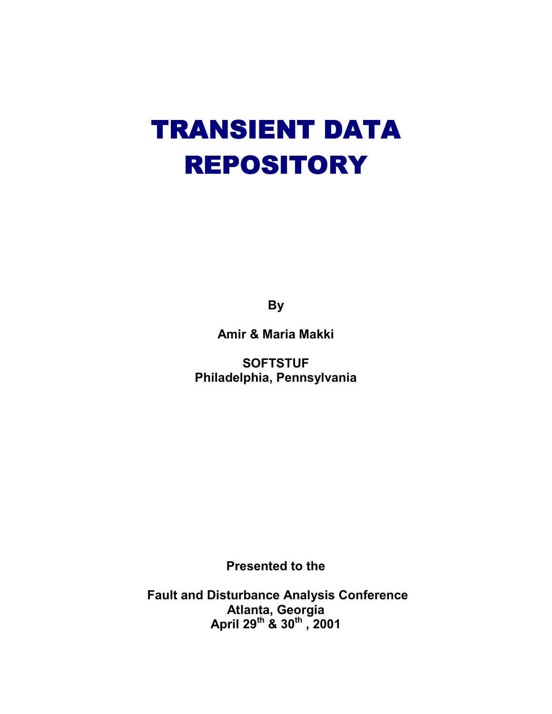# TRANSIENT DATA REPOSITORY

**By** 

**Amir & Maria Makki** 

**SOFTSTUF Philadelphia, Pennsylvania** 

**Presented to the** 

 **Fault and Disturbance Analysis Conference Atlanta, Georgia April 29th & 30th , 2001**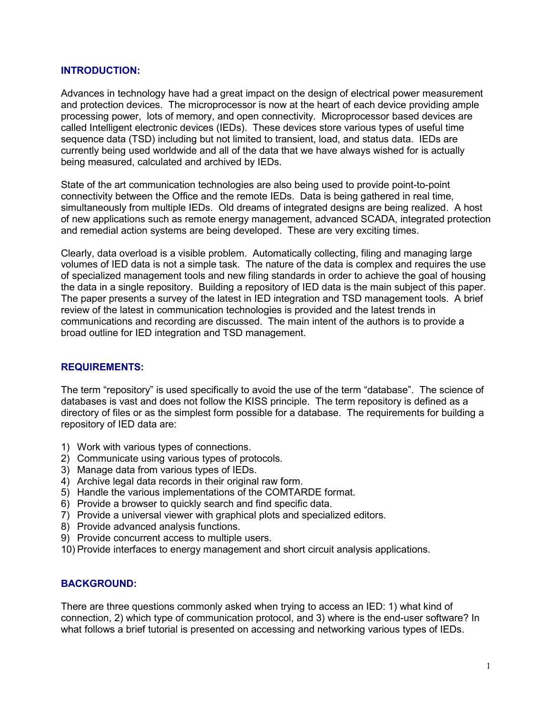#### **INTRODUCTION:**

Advances in technology have had a great impact on the design of electrical power measurement and protection devices. The microprocessor is now at the heart of each device providing ample processing power, lots of memory, and open connectivity. Microprocessor based devices are called Intelligent electronic devices (IEDs). These devices store various types of useful time sequence data (TSD) including but not limited to transient, load, and status data. IEDs are currently being used worldwide and all of the data that we have always wished for is actually being measured, calculated and archived by IEDs.

State of the art communication technologies are also being used to provide point-to-point connectivity between the Office and the remote IEDs. Data is being gathered in real time, simultaneously from multiple IEDs. Old dreams of integrated designs are being realized. A host of new applications such as remote energy management, advanced SCADA, integrated protection and remedial action systems are being developed. These are very exciting times.

Clearly, data overload is a visible problem. Automatically collecting, filing and managing large volumes of IED data is not a simple task. The nature of the data is complex and requires the use of specialized management tools and new filing standards in order to achieve the goal of housing the data in a single repository. Building a repository of IED data is the main subject of this paper. The paper presents a survey of the latest in IED integration and TSD management tools. A brief review of the latest in communication technologies is provided and the latest trends in communications and recording are discussed. The main intent of the authors is to provide a broad outline for IED integration and TSD management.

#### **REQUIREMENTS:**

The term "repository" is used specifically to avoid the use of the term "database". The science of databases is vast and does not follow the KISS principle. The term repository is defined as a directory of files or as the simplest form possible for a database. The requirements for building a repository of IED data are:

- 1) Work with various types of connections.
- 2) Communicate using various types of protocols.
- 3) Manage data from various types of IEDs.
- 4) Archive legal data records in their original raw form.
- 5) Handle the various implementations of the COMTARDE format.
- 6) Provide a browser to quickly search and find specific data.
- 7) Provide a universal viewer with graphical plots and specialized editors.
- 8) Provide advanced analysis functions.
- 9) Provide concurrent access to multiple users.
- 10) Provide interfaces to energy management and short circuit analysis applications.

#### **BACKGROUND:**

There are three questions commonly asked when trying to access an IED: 1) what kind of connection, 2) which type of communication protocol, and 3) where is the end-user software? In what follows a brief tutorial is presented on accessing and networking various types of IEDs.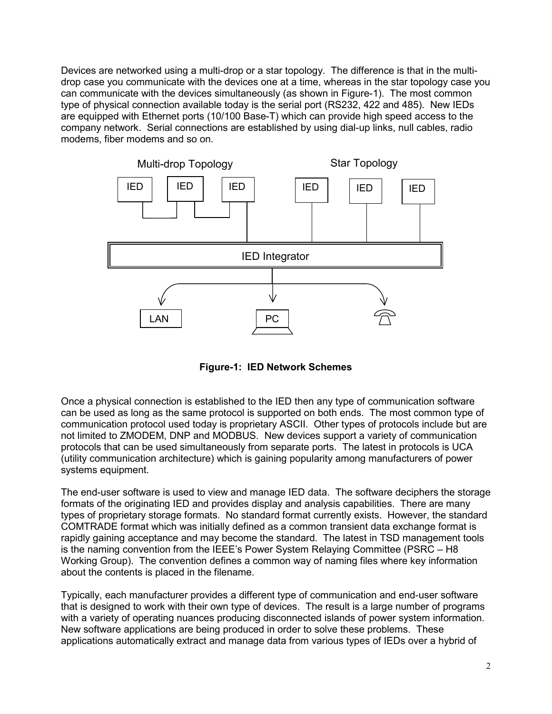Devices are networked using a multi-drop or a star topology. The difference is that in the multidrop case you communicate with the devices one at a time, whereas in the star topology case you can communicate with the devices simultaneously (as shown in Figure-1). The most common type of physical connection available today is the serial port (RS232, 422 and 485). New IEDs are equipped with Ethernet ports (10/100 Base-T) which can provide high speed access to the company network. Serial connections are established by using dial-up links, null cables, radio modems, fiber modems and so on.



**Figure-1: IED Network Schemes**

Once a physical connection is established to the IED then any type of communication software can be used as long as the same protocol is supported on both ends. The most common type of communication protocol used today is proprietary ASCII. Other types of protocols include but are not limited to ZMODEM, DNP and MODBUS. New devices support a variety of communication protocols that can be used simultaneously from separate ports. The latest in protocols is UCA (utility communication architecture) which is gaining popularity among manufacturers of power systems equipment.

The end-user software is used to view and manage IED data. The software deciphers the storage formats of the originating IED and provides display and analysis capabilities. There are many types of proprietary storage formats. No standard format currently exists. However, the standard COMTRADE format which was initially defined as a common transient data exchange format is rapidly gaining acceptance and may become the standard. The latest in TSD management tools is the naming convention from the IEEE's Power System Relaying Committee (PSRC – H8 Working Group). The convention defines a common way of naming files where key information about the contents is placed in the filename.

Typically, each manufacturer provides a different type of communication and end-user software that is designed to work with their own type of devices. The result is a large number of programs with a variety of operating nuances producing disconnected islands of power system information. New software applications are being produced in order to solve these problems. These applications automatically extract and manage data from various types of IEDs over a hybrid of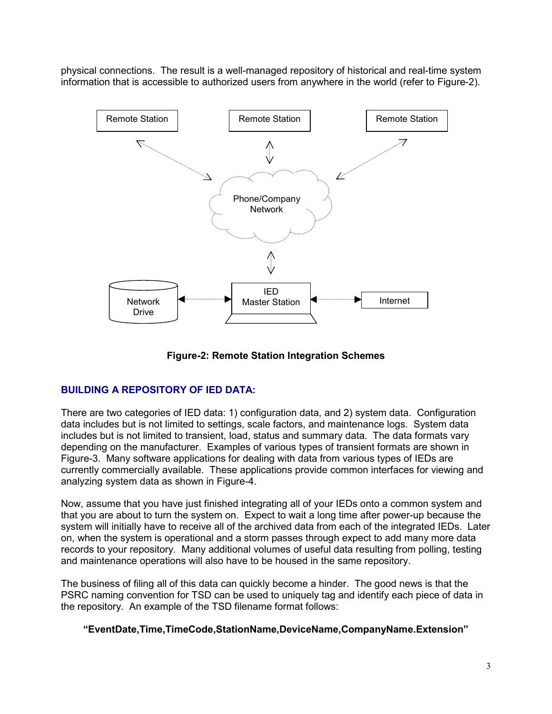physical connections. The result is a well-managed repository of historical and real-time system information that is accessible to authorized users from anywhere in the world (refer to Figure-2).



**Figure-2: Remote Station Integration Schemes**

## **BUILDING A REPOSITORY OF IED DATA:**

There are two categories of IED data: 1) configuration data, and 2) system data. Configuration data includes but is not limited to settings, scale factors, and maintenance logs. System data includes but is not limited to transient, load, status and summary data. The data formats vary depending on the manufacturer. Examples of various types of transient formats are shown in Figure-3. Many software applications for dealing with data from various types of IEDs are currently commercially available. These applications provide common interfaces for viewing and analyzing system data as shown in Figure-4.

Now, assume that you have just finished integrating all of your IEDs onto a common system and that you are about to turn the system on. Expect to wait a long time after power-up because the system will initially have to receive all of the archived data from each of the integrated IEDs. Later on, when the system is operational and a storm passes through expect to add many more data records to your repository. Many additional volumes of useful data resulting from polling, testing and maintenance operations will also have to be housed in the same repository.

The business of filing all of this data can quickly become a hinder. The good news is that the PSRC naming convention for TSD can be used to uniquely tag and identify each piece of data in the repository. An example of the TSD filename format follows:

#### **"EventDate,Time,TimeCode,StationName,DeviceName,CompanyName.Extension"**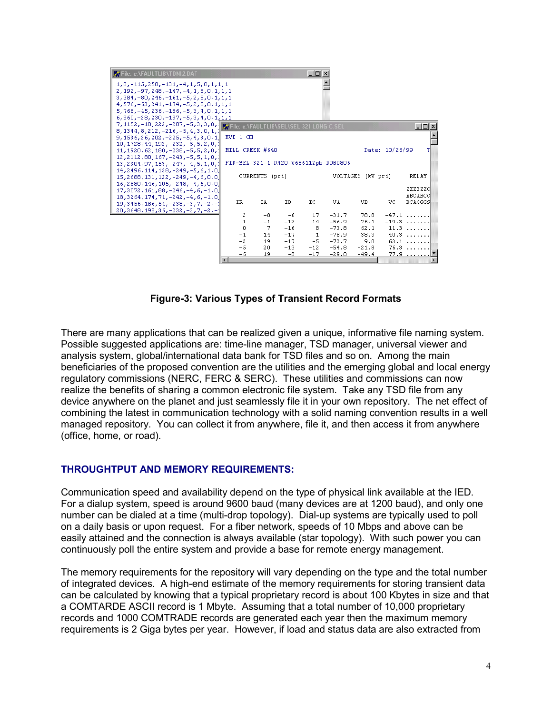

**Figure-3: Various Types of Transient Record Formats** 

There are many applications that can be realized given a unique, informative file naming system. Possible suggested applications are: time-line manager, TSD manager, universal viewer and analysis system, global/international data bank for TSD files and so on. Among the main beneficiaries of the proposed convention are the utilities and the emerging global and local energy regulatory commissions (NERC, FERC & SERC). These utilities and commissions can now realize the benefits of sharing a common electronic file system. Take any TSD file from any device anywhere on the planet and just seamlessly file it in your own repository. The net effect of combining the latest in communication technology with a solid naming convention results in a well managed repository. You can collect it from anywhere, file it, and then access it from anywhere (office, home, or road).

#### **THROUGHTPUT AND MEMORY REQUIREMENTS:**

Communication speed and availability depend on the type of physical link available at the IED. For a dialup system, speed is around 9600 baud (many devices are at 1200 baud), and only one number can be dialed at a time (multi-drop topology). Dial-up systems are typically used to poll on a daily basis or upon request. For a fiber network, speeds of 10 Mbps and above can be easily attained and the connection is always available (star topology). With such power you can continuously poll the entire system and provide a base for remote energy management.

The memory requirements for the repository will vary depending on the type and the total number of integrated devices. A high-end estimate of the memory requirements for storing transient data can be calculated by knowing that a typical proprietary record is about 100 Kbytes in size and that a COMTARDE ASCII record is 1 Mbyte. Assuming that a total number of 10,000 proprietary records and 1000 COMTRADE records are generated each year then the maximum memory requirements is 2 Giga bytes per year. However, if load and status data are also extracted from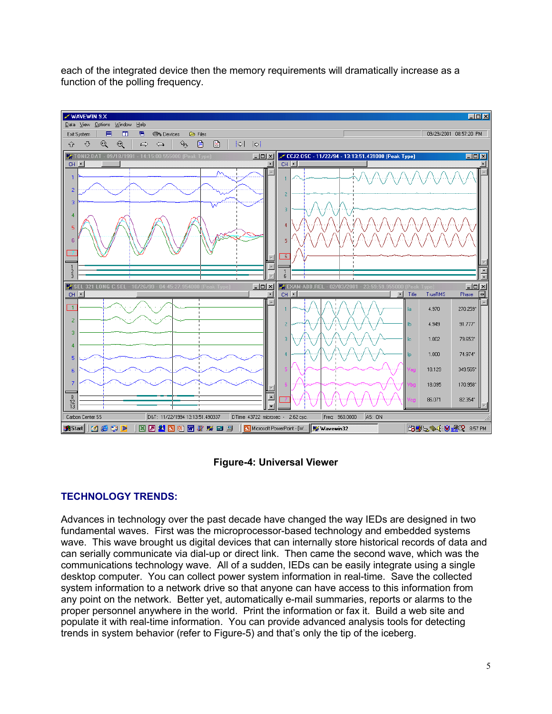each of the integrated device then the memory requirements will dramatically increase as a function of the polling frequency.



#### **Figure-4: Universal Viewer**

### **TECHNOLOGY TRENDS:**

Advances in technology over the past decade have changed the way IEDs are designed in two fundamental waves. First was the microprocessor-based technology and embedded systems wave. This wave brought us digital devices that can internally store historical records of data and can serially communicate via dial-up or direct link. Then came the second wave, which was the communications technology wave. All of a sudden, IEDs can be easily integrate using a single desktop computer. You can collect power system information in real-time. Save the collected system information to a network drive so that anyone can have access to this information from any point on the network. Better yet, automatically e-mail summaries, reports or alarms to the proper personnel anywhere in the world. Print the information or fax it. Build a web site and populate it with real-time information. You can provide advanced analysis tools for detecting trends in system behavior (refer to Figure-5) and that's only the tip of the iceberg.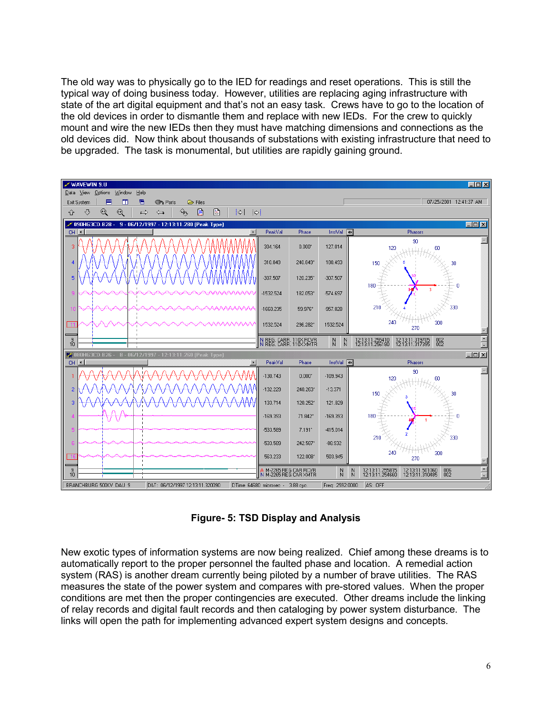The old way was to physically go to the IED for readings and reset operations. This is still the typical way of doing business today. However, utilities are replacing aging infrastructure with state of the art digital equipment and that's not an easy task. Crews have to go to the location of the old devices in order to dismantle them and replace with new IEDs. For the crew to quickly mount and wire the new IEDs then they must have matching dimensions and connections as the old devices did. Now think about thousands of substations with existing infrastructure that need to be upgraded. The task is monumental, but utilities are rapidly gaining ground.



**Figure- 5: TSD Display and Analysis** 

New exotic types of information systems are now being realized. Chief among these dreams is to automatically report to the proper personnel the faulted phase and location. A remedial action system (RAS) is another dream currently being piloted by a number of brave utilities. The RAS measures the state of the power system and compares with pre-stored values. When the proper conditions are met then the proper contingencies are executed. Other dreams include the linking of relay records and digital fault records and then cataloging by power system disturbance. The links will open the path for implementing advanced expert system designs and concepts.